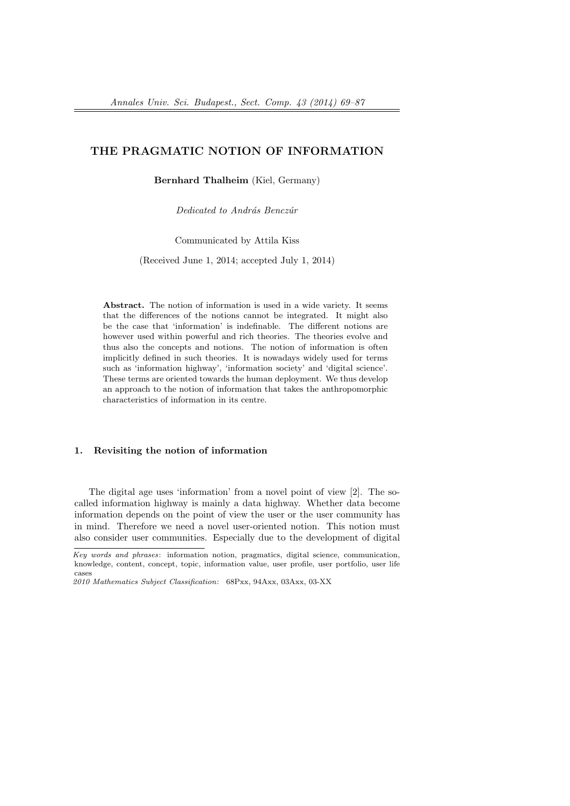# THE PRAGMATIC NOTION OF INFORMATION

Bernhard Thalheim (Kiel, Germany)

Dedicated to András Benczúr

Communicated by Attila Kiss

(Received June 1, 2014; accepted July 1, 2014)

Abstract. The notion of information is used in a wide variety. It seems that the differences of the notions cannot be integrated. It might also be the case that 'information' is indefinable. The different notions are however used within powerful and rich theories. The theories evolve and thus also the concepts and notions. The notion of information is often implicitly defined in such theories. It is nowadays widely used for terms such as 'information highway', 'information society' and 'digital science'. These terms are oriented towards the human deployment. We thus develop an approach to the notion of information that takes the anthropomorphic characteristics of information in its centre.

### 1. Revisiting the notion of information

The digital age uses 'information' from a novel point of view [2]. The socalled information highway is mainly a data highway. Whether data become information depends on the point of view the user or the user community has in mind. Therefore we need a novel user-oriented notion. This notion must also consider user communities. Especially due to the development of digital

Key words and phrases: information notion, pragmatics, digital science, communication, knowledge, content, concept, topic, information value, user profile, user portfolio, user life cases

<sup>2010</sup> Mathematics Subject Classification: 68Pxx, 94Axx, 03Axx, 03-XX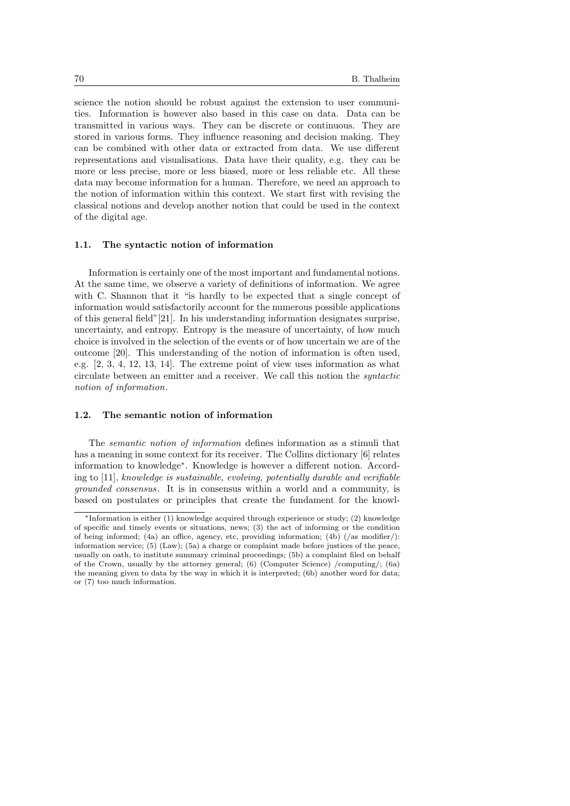science the notion should be robust against the extension to user communities. Information is however also based in this case on data. Data can be transmitted in various ways. They can be discrete or continuous. They are stored in various forms. They influence reasoning and decision making. They can be combined with other data or extracted from data. We use different representations and visualisations. Data have their quality, e.g. they can be more or less precise, more or less biased, more or less reliable etc. All these data may become information for a human. Therefore, we need an approach to the notion of information within this context. We start first with revising the classical notions and develop another notion that could be used in the context of the digital age.

### 1.1. The syntactic notion of information

Information is certainly one of the most important and fundamental notions. At the same time, we observe a variety of definitions of information. We agree with C. Shannon that it "is hardly to be expected that a single concept of information would satisfactorily account for the numerous possible applications of this general field"[21]. In his understanding information designates surprise, uncertainty, and entropy. Entropy is the measure of uncertainty, of how much choice is involved in the selection of the events or of how uncertain we are of the outcome [20]. This understanding of the notion of information is often used, e.g. [2, 3, 4, 12, 13, 14]. The extreme point of view uses information as what circulate between an emitter and a receiver. We call this notion the syntactic notion of information.

### 1.2. The semantic notion of information

The semantic notion of information defines information as a stimuli that has a meaning in some context for its receiver. The Collins dictionary [6] relates information to knowledge<sup>∗</sup> . Knowledge is however a different notion. According to [11], knowledge is sustainable, evolving, potentially durable and verifiable grounded consensus. It is in consensus within a world and a community, is based on postulates or principles that create the fundament for the knowl-

<sup>∗</sup>Information is either (1) knowledge acquired through experience or study; (2) knowledge of specific and timely events or situations, news; (3) the act of informing or the condition of being informed; (4a) an office, agency, etc, providing information; (4b) (/as modifier/): information service; (5) (Law); (5a) a charge or complaint made before justices of the peace, usually on oath, to institute summary criminal proceedings; (5b) a complaint filed on behalf of the Crown, usually by the attorney general; (6) (Computer Science) /computing/; (6a) the meaning given to data by the way in which it is interpreted; (6b) another word for data; or (7) too much information.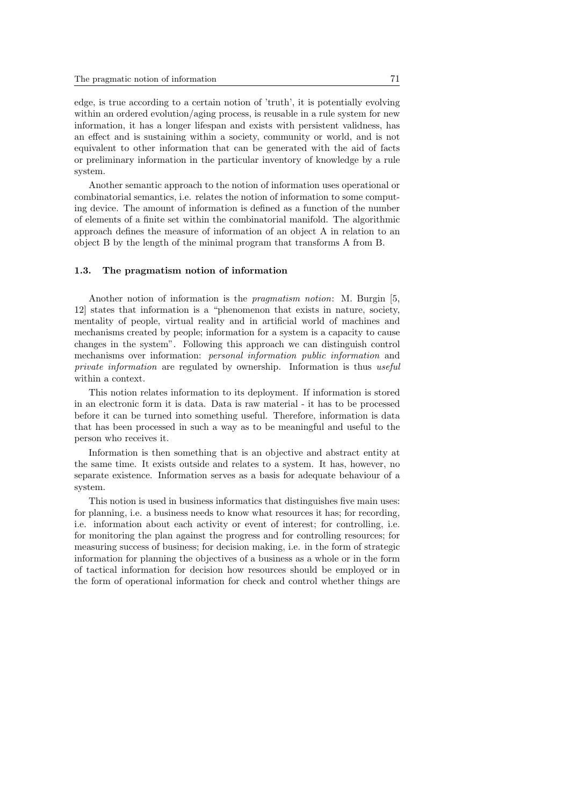edge, is true according to a certain notion of 'truth', it is potentially evolving within an ordered evolution/aging process, is reusable in a rule system for new information, it has a longer lifespan and exists with persistent validness, has an effect and is sustaining within a society, community or world, and is not equivalent to other information that can be generated with the aid of facts or preliminary information in the particular inventory of knowledge by a rule system.

Another semantic approach to the notion of information uses operational or combinatorial semantics, i.e. relates the notion of information to some computing device. The amount of information is defined as a function of the number of elements of a finite set within the combinatorial manifold. The algorithmic approach defines the measure of information of an object A in relation to an object B by the length of the minimal program that transforms A from B.

### 1.3. The pragmatism notion of information

Another notion of information is the pragmatism notion: M. Burgin [5, 12] states that information is a "phenomenon that exists in nature, society, mentality of people, virtual reality and in artificial world of machines and mechanisms created by people; information for a system is a capacity to cause changes in the system". Following this approach we can distinguish control mechanisms over information: personal information public information and private information are regulated by ownership. Information is thus useful within a context.

This notion relates information to its deployment. If information is stored in an electronic form it is data. Data is raw material - it has to be processed before it can be turned into something useful. Therefore, information is data that has been processed in such a way as to be meaningful and useful to the person who receives it.

Information is then something that is an objective and abstract entity at the same time. It exists outside and relates to a system. It has, however, no separate existence. Information serves as a basis for adequate behaviour of a system.

This notion is used in business informatics that distinguishes five main uses: for planning, i.e. a business needs to know what resources it has; for recording, i.e. information about each activity or event of interest; for controlling, i.e. for monitoring the plan against the progress and for controlling resources; for measuring success of business; for decision making, i.e. in the form of strategic information for planning the objectives of a business as a whole or in the form of tactical information for decision how resources should be employed or in the form of operational information for check and control whether things are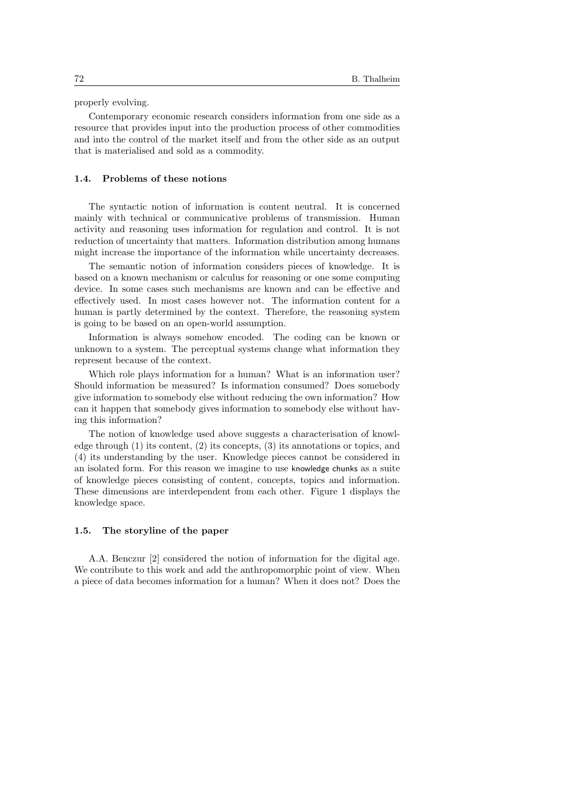properly evolving.

Contemporary economic research considers information from one side as a resource that provides input into the production process of other commodities and into the control of the market itself and from the other side as an output that is materialised and sold as a commodity.

#### 1.4. Problems of these notions

The syntactic notion of information is content neutral. It is concerned mainly with technical or communicative problems of transmission. Human activity and reasoning uses information for regulation and control. It is not reduction of uncertainty that matters. Information distribution among humans might increase the importance of the information while uncertainty decreases.

The semantic notion of information considers pieces of knowledge. It is based on a known mechanism or calculus for reasoning or one some computing device. In some cases such mechanisms are known and can be effective and effectively used. In most cases however not. The information content for a human is partly determined by the context. Therefore, the reasoning system is going to be based on an open-world assumption.

Information is always somehow encoded. The coding can be known or unknown to a system. The perceptual systems change what information they represent because of the context.

Which role plays information for a human? What is an information user? Should information be measured? Is information consumed? Does somebody give information to somebody else without reducing the own information? How can it happen that somebody gives information to somebody else without having this information?

The notion of knowledge used above suggests a characterisation of knowledge through (1) its content, (2) its concepts, (3) its annotations or topics, and (4) its understanding by the user. Knowledge pieces cannot be considered in an isolated form. For this reason we imagine to use knowledge chunks as a suite of knowledge pieces consisting of content, concepts, topics and information. These dimensions are interdependent from each other. Figure 1 displays the knowledge space.

### 1.5. The storyline of the paper

A.A. Benczur [2] considered the notion of information for the digital age. We contribute to this work and add the anthropomorphic point of view. When a piece of data becomes information for a human? When it does not? Does the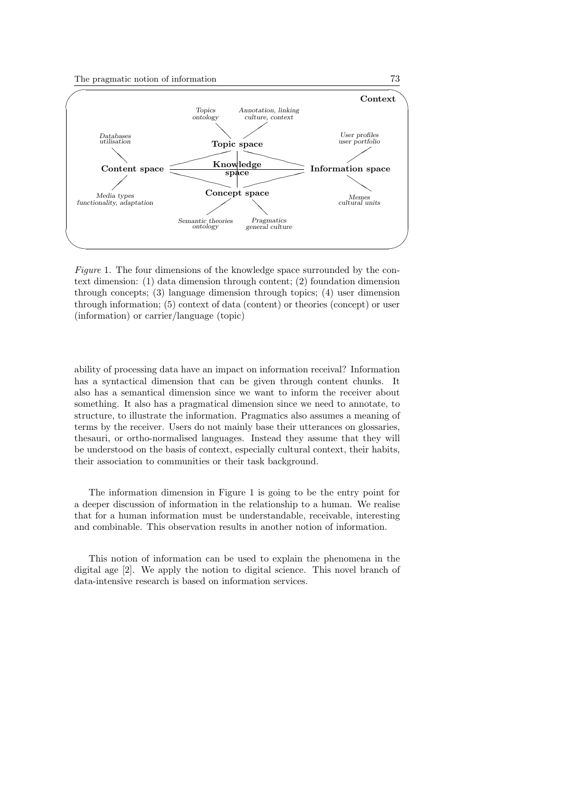

Figure 1. The four dimensions of the knowledge space surrounded by the context dimension: (1) data dimension through content; (2) foundation dimension through concepts; (3) language dimension through topics; (4) user dimension through information; (5) context of data (content) or theories (concept) or user (information) or carrier/language (topic)

ability of processing data have an impact on information receival? Information has a syntactical dimension that can be given through content chunks. It also has a semantical dimension since we want to inform the receiver about something. It also has a pragmatical dimension since we need to annotate, to structure, to illustrate the information. Pragmatics also assumes a meaning of terms by the receiver. Users do not mainly base their utterances on glossaries, thesauri, or ortho-normalised languages. Instead they assume that they will be understood on the basis of context, especially cultural context, their habits, their association to communities or their task background.

The information dimension in Figure 1 is going to be the entry point for a deeper discussion of information in the relationship to a human. We realise that for a human information must be understandable, receivable, interesting and combinable. This observation results in another notion of information.

This notion of information can be used to explain the phenomena in the digital age [2]. We apply the notion to digital science. This novel branch of data-intensive research is based on information services.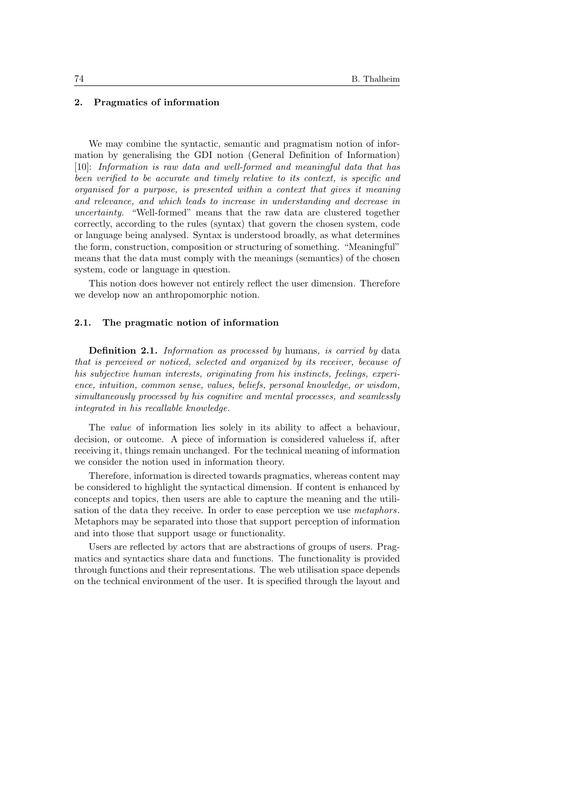### 2. Pragmatics of information

We may combine the syntactic, semantic and pragmatism notion of information by generalising the GDI notion (General Definition of Information) [10]: Information is raw data and well-formed and meaningful data that has been verified to be accurate and timely relative to its context, is specific and organised for a purpose, is presented within a context that gives it meaning and relevance, and which leads to increase in understanding and decrease in uncertainty. "Well-formed" means that the raw data are clustered together correctly, according to the rules (syntax) that govern the chosen system, code or language being analysed. Syntax is understood broadly, as what determines the form, construction, composition or structuring of something. "Meaningful" means that the data must comply with the meanings (semantics) of the chosen system, code or language in question.

This notion does however not entirely reflect the user dimension. Therefore we develop now an anthropomorphic notion.

### 2.1. The pragmatic notion of information

Definition 2.1. Information as processed by humans, is carried by data that is perceived or noticed, selected and organized by its receiver, because of his subjective human interests, originating from his instincts, feelings, experience, intuition, common sense, values, beliefs, personal knowledge, or wisdom, simultaneously processed by his cognitive and mental processes, and seamlessly integrated in his recallable knowledge.

The value of information lies solely in its ability to affect a behaviour, decision, or outcome. A piece of information is considered valueless if, after receiving it, things remain unchanged. For the technical meaning of information we consider the notion used in information theory.

Therefore, information is directed towards pragmatics, whereas content may be considered to highlight the syntactical dimension. If content is enhanced by concepts and topics, then users are able to capture the meaning and the utilisation of the data they receive. In order to ease perception we use metaphors. Metaphors may be separated into those that support perception of information and into those that support usage or functionality.

Users are reflected by actors that are abstractions of groups of users. Pragmatics and syntactics share data and functions. The functionality is provided through functions and their representations. The web utilisation space depends on the technical environment of the user. It is specified through the layout and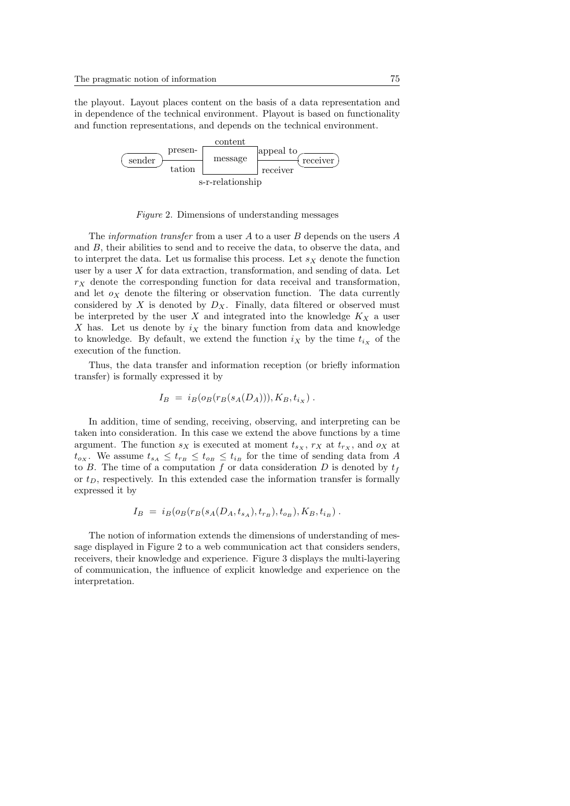the playout. Layout places content on the basis of a data representation and in dependence of the technical environment. Playout is based on functionality and function representations, and depends on the technical environment.



Figure 2. Dimensions of understanding messages

The *information transfer* from a user  $A$  to a user  $B$  depends on the users  $A$ and B, their abilities to send and to receive the data, to observe the data, and to interpret the data. Let us formalise this process. Let  $s<sub>X</sub>$  denote the function user by a user  $X$  for data extraction, transformation, and sending of data. Let  $r<sub>X</sub>$  denote the corresponding function for data receival and transformation, and let  $o_X$  denote the filtering or observation function. The data currently considered by  $X$  is denoted by  $D_X$ . Finally, data filtered or observed must be interpreted by the user X and integrated into the knowledge  $K_X$  a user X has. Let us denote by  $i_X$  the binary function from data and knowledge to knowledge. By default, we extend the function  $i_X$  by the time  $t_{i_X}$  of the execution of the function.

Thus, the data transfer and information reception (or briefly information transfer) is formally expressed it by

$$
I_B = i_B(o_B(r_B(s_A(D_A))), K_B, t_{i_X}).
$$

In addition, time of sending, receiving, observing, and interpreting can be taken into consideration. In this case we extend the above functions by a time argument. The function  $s_X$  is executed at moment  $t_{s_X}$ ,  $r_X$  at  $t_{r_X}$ , and  $o_X$  at  $t_{o_X}$ . We assume  $t_{s_A} \leq t_{r_B} \leq t_{o_B} \leq t_{i_B}$  for the time of sending data from A to B. The time of a computation f or data consideration D is denoted by  $t_f$ or  $t_D$ , respectively. In this extended case the information transfer is formally expressed it by

$$
I_B = i_B(o_B(r_B(s_A(D_A, t_{s_A}), t_{r_B}), t_{o_B}), K_B, t_{i_B}).
$$

The notion of information extends the dimensions of understanding of message displayed in Figure 2 to a web communication act that considers senders, receivers, their knowledge and experience. Figure 3 displays the multi-layering of communication, the influence of explicit knowledge and experience on the interpretation.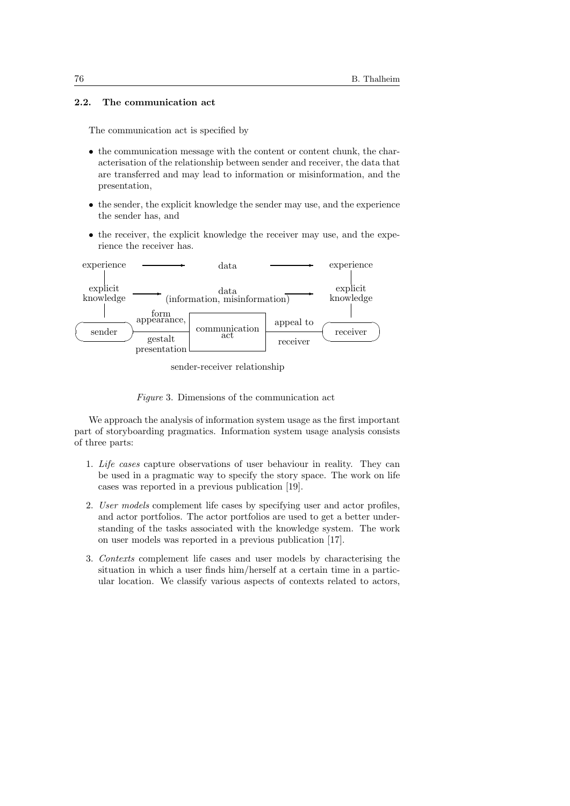# 2.2. The communication act

The communication act is specified by

- the communication message with the content or content chunk, the characterisation of the relationship between sender and receiver, the data that are transferred and may lead to information or misinformation, and the presentation,
- the sender, the explicit knowledge the sender may use, and the experience the sender has, and
- the receiver, the explicit knowledge the receiver may use, and the experience the receiver has.



sender-receiver relationship



We approach the analysis of information system usage as the first important part of storyboarding pragmatics. Information system usage analysis consists of three parts:

- 1. Life cases capture observations of user behaviour in reality. They can be used in a pragmatic way to specify the story space. The work on life cases was reported in a previous publication [19].
- 2. User models complement life cases by specifying user and actor profiles, and actor portfolios. The actor portfolios are used to get a better understanding of the tasks associated with the knowledge system. The work on user models was reported in a previous publication [17].
- 3. Contexts complement life cases and user models by characterising the situation in which a user finds him/herself at a certain time in a particular location. We classify various aspects of contexts related to actors,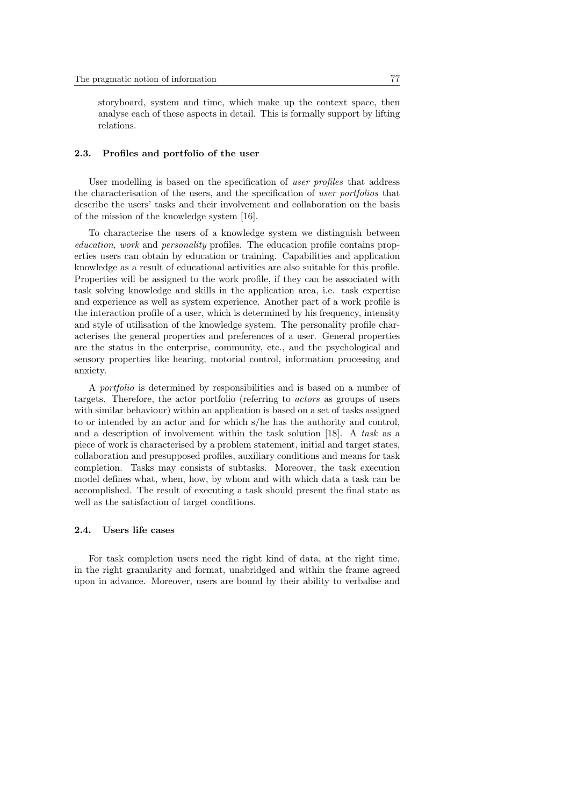storyboard, system and time, which make up the context space, then analyse each of these aspects in detail. This is formally support by lifting relations.

### 2.3. Profiles and portfolio of the user

User modelling is based on the specification of user profiles that address the characterisation of the users, and the specification of user portfolios that describe the users' tasks and their involvement and collaboration on the basis of the mission of the knowledge system [16].

To characterise the users of a knowledge system we distinguish between education, work and personality profiles. The education profile contains properties users can obtain by education or training. Capabilities and application knowledge as a result of educational activities are also suitable for this profile. Properties will be assigned to the work profile, if they can be associated with task solving knowledge and skills in the application area, i.e. task expertise and experience as well as system experience. Another part of a work profile is the interaction profile of a user, which is determined by his frequency, intensity and style of utilisation of the knowledge system. The personality profile characterises the general properties and preferences of a user. General properties are the status in the enterprise, community, etc., and the psychological and sensory properties like hearing, motorial control, information processing and anxiety.

A portfolio is determined by responsibilities and is based on a number of targets. Therefore, the actor portfolio (referring to actors as groups of users with similar behaviour) within an application is based on a set of tasks assigned to or intended by an actor and for which s/he has the authority and control, and a description of involvement within the task solution [18]. A task as a piece of work is characterised by a problem statement, initial and target states, collaboration and presupposed profiles, auxiliary conditions and means for task completion. Tasks may consists of subtasks. Moreover, the task execution model defines what, when, how, by whom and with which data a task can be accomplished. The result of executing a task should present the final state as well as the satisfaction of target conditions.

## 2.4. Users life cases

For task completion users need the right kind of data, at the right time, in the right granularity and format, unabridged and within the frame agreed upon in advance. Moreover, users are bound by their ability to verbalise and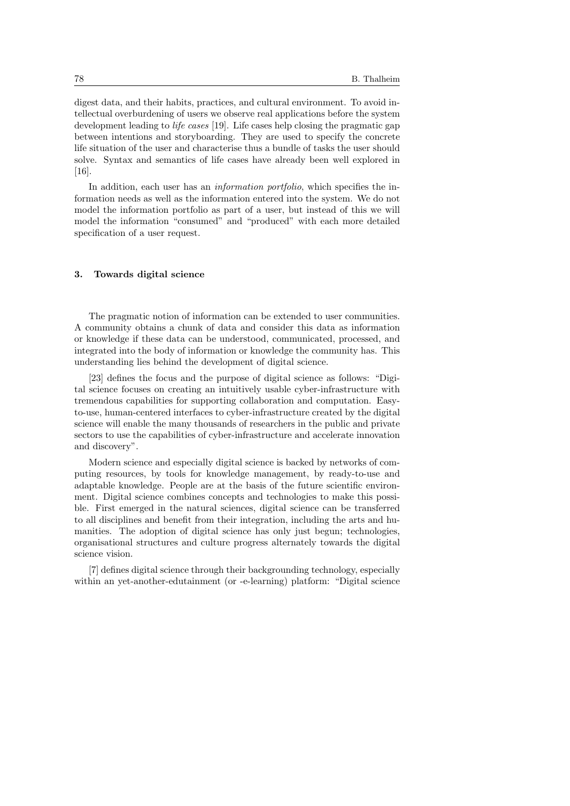digest data, and their habits, practices, and cultural environment. To avoid intellectual overburdening of users we observe real applications before the system development leading to *life cases* [19]. Life cases help closing the pragmatic gap between intentions and storyboarding. They are used to specify the concrete life situation of the user and characterise thus a bundle of tasks the user should solve. Syntax and semantics of life cases have already been well explored in [16].

In addition, each user has an *information portfolio*, which specifies the information needs as well as the information entered into the system. We do not model the information portfolio as part of a user, but instead of this we will model the information "consumed" and "produced" with each more detailed specification of a user request.

### 3. Towards digital science

The pragmatic notion of information can be extended to user communities. A community obtains a chunk of data and consider this data as information or knowledge if these data can be understood, communicated, processed, and integrated into the body of information or knowledge the community has. This understanding lies behind the development of digital science.

[23] defines the focus and the purpose of digital science as follows: "Digital science focuses on creating an intuitively usable cyber-infrastructure with tremendous capabilities for supporting collaboration and computation. Easyto-use, human-centered interfaces to cyber-infrastructure created by the digital science will enable the many thousands of researchers in the public and private sectors to use the capabilities of cyber-infrastructure and accelerate innovation and discovery".

Modern science and especially digital science is backed by networks of computing resources, by tools for knowledge management, by ready-to-use and adaptable knowledge. People are at the basis of the future scientific environment. Digital science combines concepts and technologies to make this possible. First emerged in the natural sciences, digital science can be transferred to all disciplines and benefit from their integration, including the arts and humanities. The adoption of digital science has only just begun; technologies, organisational structures and culture progress alternately towards the digital science vision.

[7] defines digital science through their backgrounding technology, especially within an yet-another-edutainment (or -e-learning) platform: "Digital science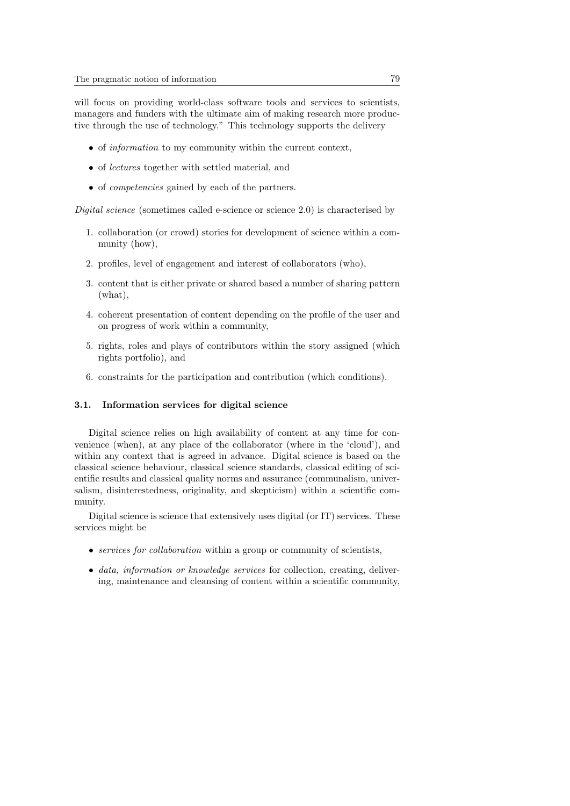will focus on providing world-class software tools and services to scientists, managers and funders with the ultimate aim of making research more productive through the use of technology." This technology supports the delivery

- of *information* to my community within the current context.
- of lectures together with settled material, and
- of competencies gained by each of the partners.

Digital science (sometimes called e-science or science 2.0) is characterised by

- 1. collaboration (or crowd) stories for development of science within a community (how),
- 2. profiles, level of engagement and interest of collaborators (who),
- 3. content that is either private or shared based a number of sharing pattern (what),
- 4. coherent presentation of content depending on the profile of the user and on progress of work within a community,
- 5. rights, roles and plays of contributors within the story assigned (which rights portfolio), and
- 6. constraints for the participation and contribution (which conditions).

#### 3.1. Information services for digital science

Digital science relies on high availability of content at any time for convenience (when), at any place of the collaborator (where in the 'cloud'), and within any context that is agreed in advance. Digital science is based on the classical science behaviour, classical science standards, classical editing of scientific results and classical quality norms and assurance (communalism, universalism, disinterestedness, originality, and skepticism) within a scientific community.

Digital science is science that extensively uses digital (or IT) services. These services might be

- services for collaboration within a group or community of scientists,
- data, information or knowledge services for collection, creating, delivering, maintenance and cleansing of content within a scientific community,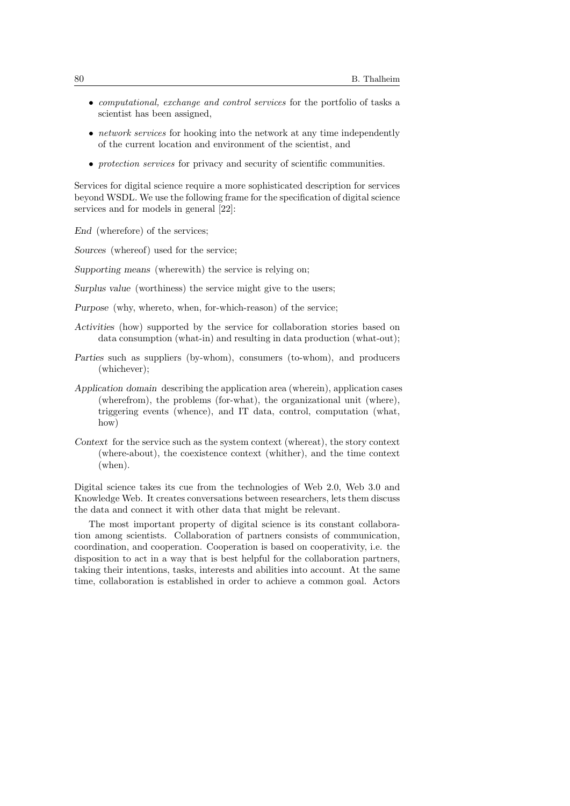- computational, exchange and control services for the portfolio of tasks a scientist has been assigned,
- *network services* for hooking into the network at any time independently of the current location and environment of the scientist, and
- *protection services* for privacy and security of scientific communities.

Services for digital science require a more sophisticated description for services beyond WSDL. We use the following frame for the specification of digital science services and for models in general [22]:

End (wherefore) of the services;

Sources (whereof) used for the service;

Supporting means (wherewith) the service is relying on;

Surplus value (worthiness) the service might give to the users;

- Purpose (why, whereto, when, for-which-reason) of the service;
- Activities (how) supported by the service for collaboration stories based on data consumption (what-in) and resulting in data production (what-out);
- Parties such as suppliers (by-whom), consumers (to-whom), and producers (whichever);
- Application domain describing the application area (wherein), application cases (wherefrom), the problems (for-what), the organizational unit (where), triggering events (whence), and IT data, control, computation (what, how)
- Context for the service such as the system context (whereat), the story context (where-about), the coexistence context (whither), and the time context (when).

Digital science takes its cue from the technologies of Web 2.0, Web 3.0 and Knowledge Web. It creates conversations between researchers, lets them discuss the data and connect it with other data that might be relevant.

The most important property of digital science is its constant collaboration among scientists. Collaboration of partners consists of communication, coordination, and cooperation. Cooperation is based on cooperativity, i.e. the disposition to act in a way that is best helpful for the collaboration partners, taking their intentions, tasks, interests and abilities into account. At the same time, collaboration is established in order to achieve a common goal. Actors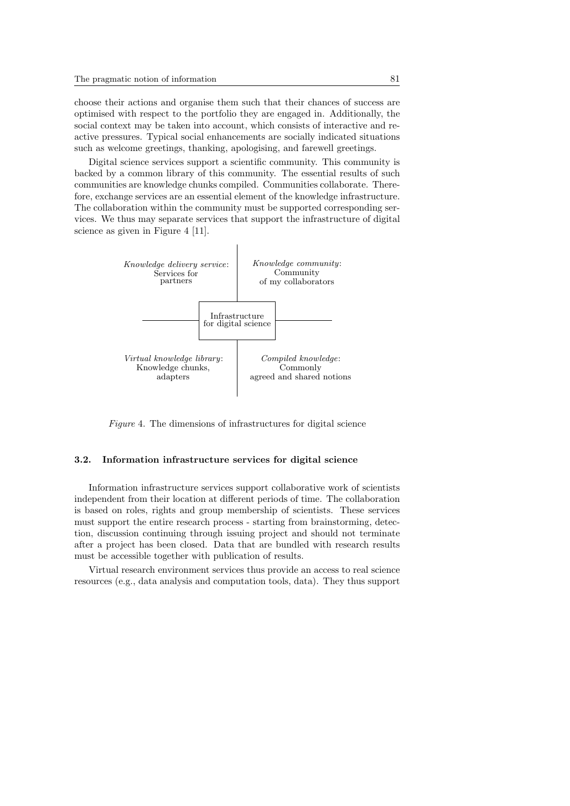choose their actions and organise them such that their chances of success are optimised with respect to the portfolio they are engaged in. Additionally, the social context may be taken into account, which consists of interactive and reactive pressures. Typical social enhancements are socially indicated situations such as welcome greetings, thanking, apologising, and farewell greetings.

Digital science services support a scientific community. This community is backed by a common library of this community. The essential results of such communities are knowledge chunks compiled. Communities collaborate. Therefore, exchange services are an essential element of the knowledge infrastructure. The collaboration within the community must be supported corresponding services. We thus may separate services that support the infrastructure of digital science as given in Figure 4 [11].



Figure 4. The dimensions of infrastructures for digital science

### 3.2. Information infrastructure services for digital science

Information infrastructure services support collaborative work of scientists independent from their location at different periods of time. The collaboration is based on roles, rights and group membership of scientists. These services must support the entire research process - starting from brainstorming, detection, discussion continuing through issuing project and should not terminate after a project has been closed. Data that are bundled with research results must be accessible together with publication of results.

Virtual research environment services thus provide an access to real science resources (e.g., data analysis and computation tools, data). They thus support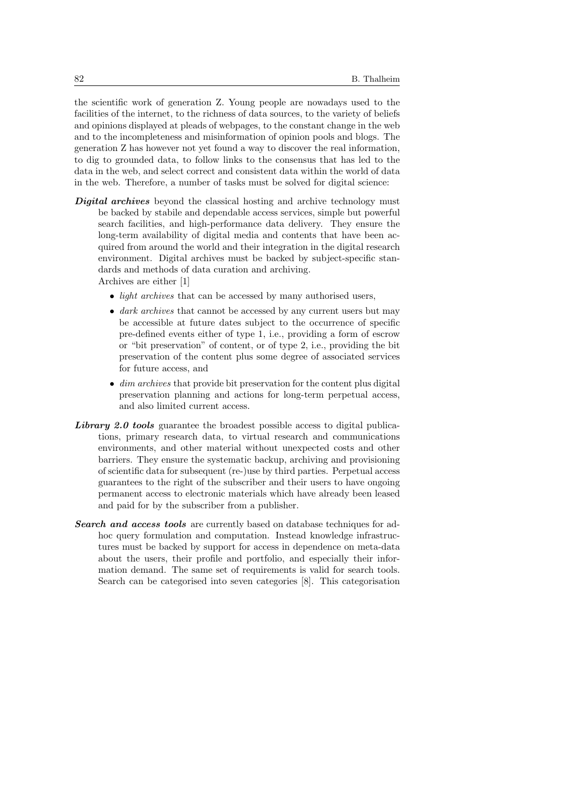the scientific work of generation Z. Young people are nowadays used to the facilities of the internet, to the richness of data sources, to the variety of beliefs and opinions displayed at pleads of webpages, to the constant change in the web and to the incompleteness and misinformation of opinion pools and blogs. The generation Z has however not yet found a way to discover the real information, to dig to grounded data, to follow links to the consensus that has led to the data in the web, and select correct and consistent data within the world of data in the web. Therefore, a number of tasks must be solved for digital science:

- **Digital archives** beyond the classical hosting and archive technology must be backed by stabile and dependable access services, simple but powerful search facilities, and high-performance data delivery. They ensure the long-term availability of digital media and contents that have been acquired from around the world and their integration in the digital research environment. Digital archives must be backed by subject-specific standards and methods of data curation and archiving. Archives are either [1]
	- *light archives* that can be accessed by many authorised users,
	- dark archives that cannot be accessed by any current users but may be accessible at future dates subject to the occurrence of specific pre-defined events either of type 1, i.e., providing a form of escrow or "bit preservation" of content, or of type 2, i.e., providing the bit preservation of the content plus some degree of associated services for future access, and
	- $\bullet$  dim archives that provide bit preservation for the content plus digital preservation planning and actions for long-term perpetual access, and also limited current access.
- Library 2.0 tools guarantee the broadest possible access to digital publications, primary research data, to virtual research and communications environments, and other material without unexpected costs and other barriers. They ensure the systematic backup, archiving and provisioning of scientific data for subsequent (re-)use by third parties. Perpetual access guarantees to the right of the subscriber and their users to have ongoing permanent access to electronic materials which have already been leased and paid for by the subscriber from a publisher.
- Search and access tools are currently based on database techniques for adhoc query formulation and computation. Instead knowledge infrastructures must be backed by support for access in dependence on meta-data about the users, their profile and portfolio, and especially their information demand. The same set of requirements is valid for search tools. Search can be categorised into seven categories [8]. This categorisation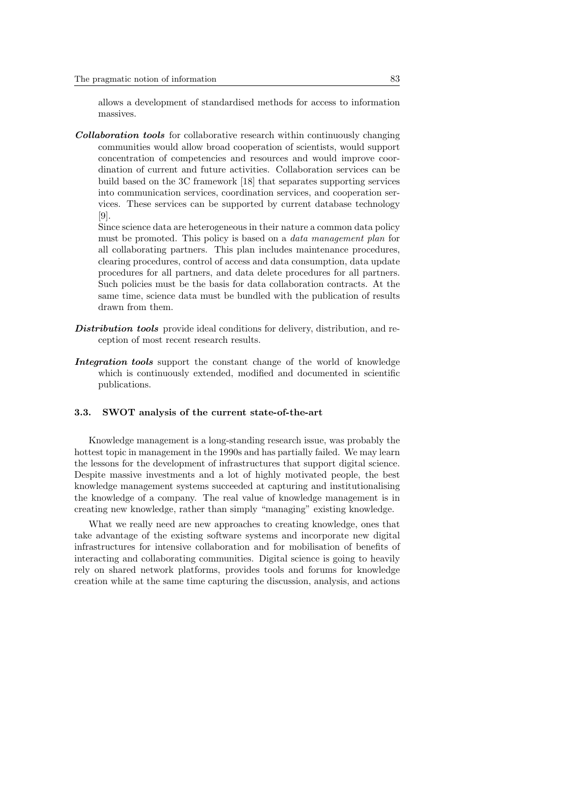allows a development of standardised methods for access to information massives.

Collaboration tools for collaborative research within continuously changing communities would allow broad cooperation of scientists, would support concentration of competencies and resources and would improve coordination of current and future activities. Collaboration services can be build based on the 3C framework [18] that separates supporting services into communication services, coordination services, and cooperation services. These services can be supported by current database technology [9].

Since science data are heterogeneous in their nature a common data policy must be promoted. This policy is based on a data management plan for all collaborating partners. This plan includes maintenance procedures, clearing procedures, control of access and data consumption, data update procedures for all partners, and data delete procedures for all partners. Such policies must be the basis for data collaboration contracts. At the same time, science data must be bundled with the publication of results drawn from them.

- Distribution tools provide ideal conditions for delivery, distribution, and reception of most recent research results.
- Integration tools support the constant change of the world of knowledge which is continuously extended, modified and documented in scientific publications.

### 3.3. SWOT analysis of the current state-of-the-art

Knowledge management is a long-standing research issue, was probably the hottest topic in management in the 1990s and has partially failed. We may learn the lessons for the development of infrastructures that support digital science. Despite massive investments and a lot of highly motivated people, the best knowledge management systems succeeded at capturing and institutionalising the knowledge of a company. The real value of knowledge management is in creating new knowledge, rather than simply "managing" existing knowledge.

What we really need are new approaches to creating knowledge, ones that take advantage of the existing software systems and incorporate new digital infrastructures for intensive collaboration and for mobilisation of benefits of interacting and collaborating communities. Digital science is going to heavily rely on shared network platforms, provides tools and forums for knowledge creation while at the same time capturing the discussion, analysis, and actions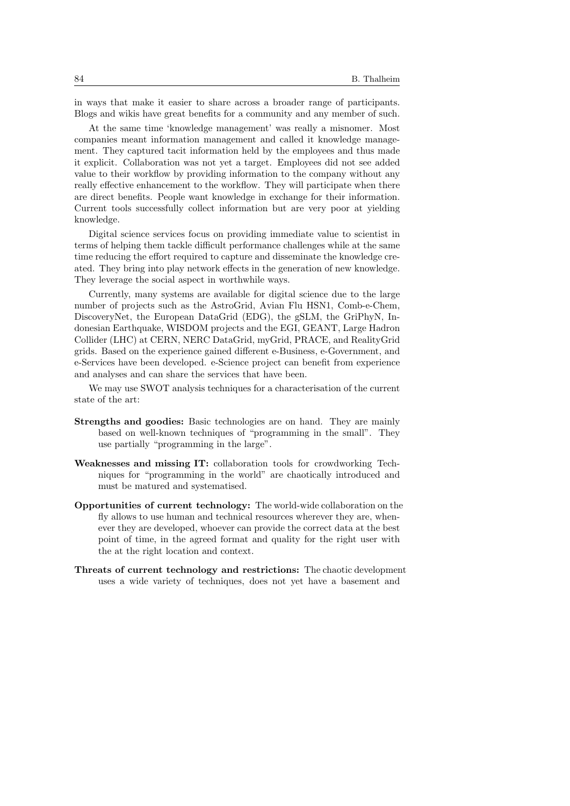in ways that make it easier to share across a broader range of participants. Blogs and wikis have great benefits for a community and any member of such.

At the same time 'knowledge management' was really a misnomer. Most companies meant information management and called it knowledge management. They captured tacit information held by the employees and thus made it explicit. Collaboration was not yet a target. Employees did not see added value to their workflow by providing information to the company without any really effective enhancement to the workflow. They will participate when there are direct benefits. People want knowledge in exchange for their information. Current tools successfully collect information but are very poor at yielding knowledge.

Digital science services focus on providing immediate value to scientist in terms of helping them tackle difficult performance challenges while at the same time reducing the effort required to capture and disseminate the knowledge created. They bring into play network effects in the generation of new knowledge. They leverage the social aspect in worthwhile ways.

Currently, many systems are available for digital science due to the large number of projects such as the AstroGrid, Avian Flu HSN1, Comb-e-Chem, DiscoveryNet, the European DataGrid (EDG), the gSLM, the GriPhyN, Indonesian Earthquake, WISDOM projects and the EGI, GEANT, Large Hadron Collider (LHC) at CERN, NERC DataGrid, myGrid, PRACE, and RealityGrid grids. Based on the experience gained different e-Business, e-Government, and e-Services have been developed. e-Science project can benefit from experience and analyses and can share the services that have been.

We may use SWOT analysis techniques for a characterisation of the current state of the art:

- Strengths and goodies: Basic technologies are on hand. They are mainly based on well-known techniques of "programming in the small". They use partially "programming in the large".
- Weaknesses and missing IT: collaboration tools for crowdworking Techniques for "programming in the world" are chaotically introduced and must be matured and systematised.
- Opportunities of current technology: The world-wide collaboration on the fly allows to use human and technical resources wherever they are, whenever they are developed, whoever can provide the correct data at the best point of time, in the agreed format and quality for the right user with the at the right location and context.
- Threats of current technology and restrictions: The chaotic development uses a wide variety of techniques, does not yet have a basement and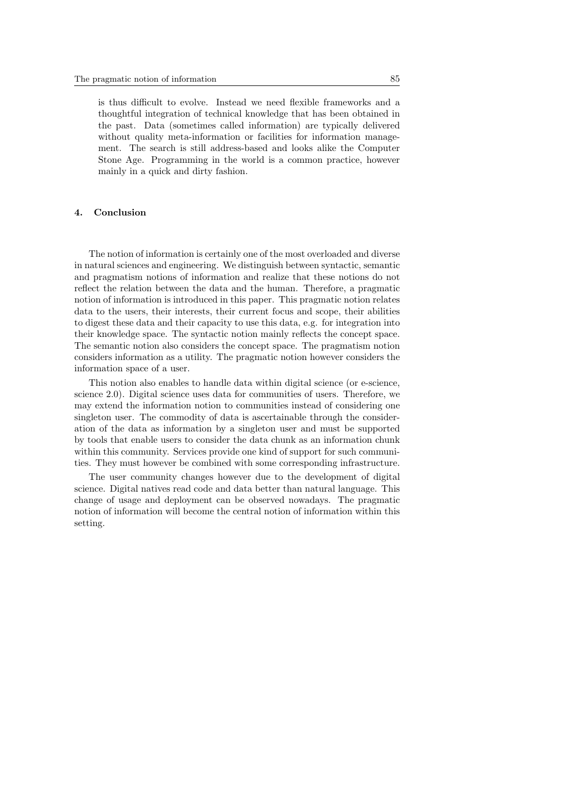is thus difficult to evolve. Instead we need flexible frameworks and a thoughtful integration of technical knowledge that has been obtained in the past. Data (sometimes called information) are typically delivered without quality meta-information or facilities for information management. The search is still address-based and looks alike the Computer Stone Age. Programming in the world is a common practice, however mainly in a quick and dirty fashion.

### 4. Conclusion

The notion of information is certainly one of the most overloaded and diverse in natural sciences and engineering. We distinguish between syntactic, semantic and pragmatism notions of information and realize that these notions do not reflect the relation between the data and the human. Therefore, a pragmatic notion of information is introduced in this paper. This pragmatic notion relates data to the users, their interests, their current focus and scope, their abilities to digest these data and their capacity to use this data, e.g. for integration into their knowledge space. The syntactic notion mainly reflects the concept space. The semantic notion also considers the concept space. The pragmatism notion considers information as a utility. The pragmatic notion however considers the information space of a user.

This notion also enables to handle data within digital science (or e-science, science 2.0). Digital science uses data for communities of users. Therefore, we may extend the information notion to communities instead of considering one singleton user. The commodity of data is ascertainable through the consideration of the data as information by a singleton user and must be supported by tools that enable users to consider the data chunk as an information chunk within this community. Services provide one kind of support for such communities. They must however be combined with some corresponding infrastructure.

The user community changes however due to the development of digital science. Digital natives read code and data better than natural language. This change of usage and deployment can be observed nowadays. The pragmatic notion of information will become the central notion of information within this setting.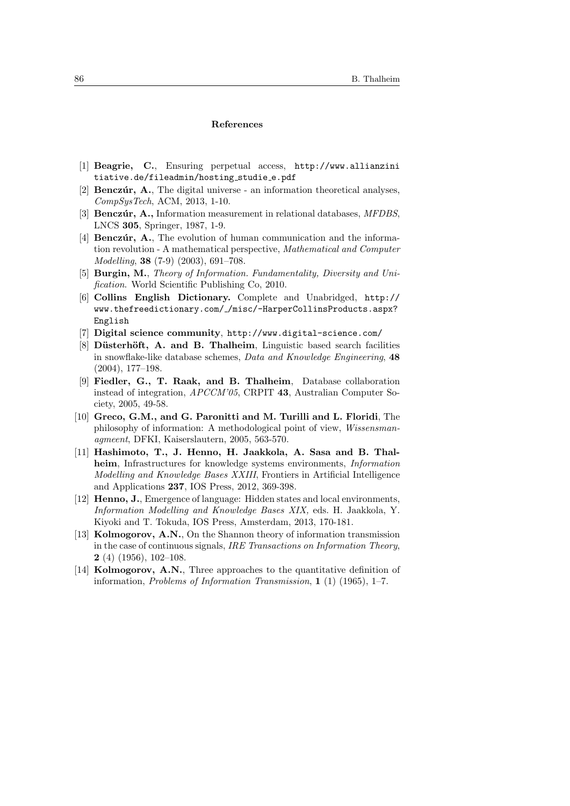### References

- [1] Beagrie, C., Ensuring perpetual access, http://www.allianzini tiative.de/fileadmin/hosting studie e.pdf
- [2] **Benczúr, A.**, The digital universe an information theoretical analyses, CompSysTech, ACM, 2013, 1-10.
- [3] Benczúr, A., Information measurement in relational databases, MFDBS, LNCS 305, Springer, 1987, 1-9.
- [4] **Benczúr, A.**, The evolution of human communication and the information revolution - A mathematical perspective, Mathematical and Computer Modelling, 38 (7-9) (2003), 691–708.
- [5] Burgin, M., Theory of Information. Fundamentality, Diversity and Unification. World Scientific Publishing Co, 2010.
- [6] Collins English Dictionary. Complete and Unabridged, http:// www.thefreedictionary.com/ /misc/-HarperCollinsProducts.aspx? English
- [7] Digital science community, http://www.digital-science.com/
- [8] Düsterhöft, A. and B. Thalheim, Linguistic based search facilities in snowflake-like database schemes, Data and Knowledge Engineering, 48 (2004), 177–198.
- [9] Fiedler, G., T. Raak, and B. Thalheim, Database collaboration instead of integration, APCCM'05, CRPIT 43, Australian Computer Society, 2005, 49-58.
- [10] Greco, G.M., and G. Paronitti and M. Turilli and L. Floridi, The philosophy of information: A methodological point of view, Wissensmanagmeent, DFKI, Kaiserslautern, 2005, 563-570.
- [11] Hashimoto, T., J. Henno, H. Jaakkola, A. Sasa and B. Thalheim, Infrastructures for knowledge systems environments, *Information* Modelling and Knowledge Bases XXIII, Frontiers in Artificial Intelligence and Applications 237, IOS Press, 2012, 369-398.
- [12] Henno, J., Emergence of language: Hidden states and local environments, Information Modelling and Knowledge Bases XIX, eds. H. Jaakkola, Y. Kiyoki and T. Tokuda, IOS Press, Amsterdam, 2013, 170-181.
- [13] Kolmogorov, A.N., On the Shannon theory of information transmission in the case of continuous signals, IRE Transactions on Information Theory, 2 (4) (1956), 102–108.
- [14] Kolmogorov, A.N., Three approaches to the quantitative definition of information, Problems of Information Transmission, 1 (1) (1965), 1–7.